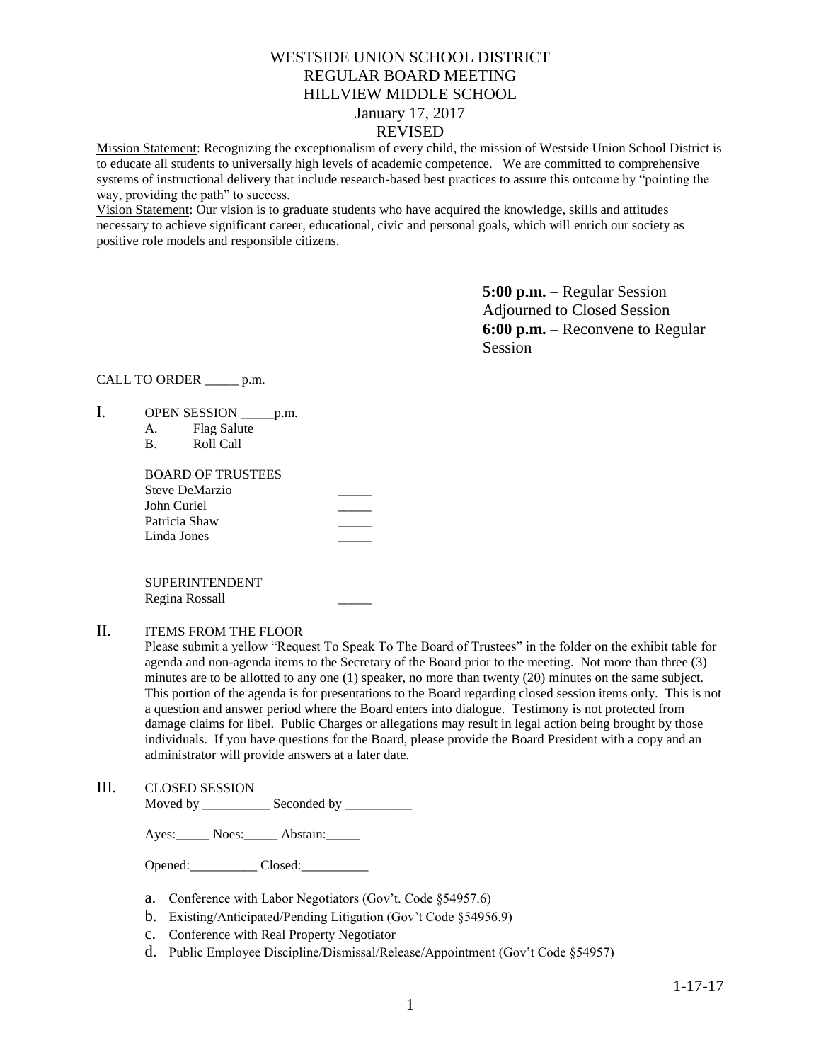# WESTSIDE UNION SCHOOL DISTRICT REGULAR BOARD MEETING HILLVIEW MIDDLE SCHOOL January 17, 2017 REVISED

Mission Statement: Recognizing the exceptionalism of every child, the mission of Westside Union School District is to educate all students to universally high levels of academic competence. We are committed to comprehensive systems of instructional delivery that include research-based best practices to assure this outcome by "pointing the way, providing the path" to success.

Vision Statement: Our vision is to graduate students who have acquired the knowledge, skills and attitudes necessary to achieve significant career, educational, civic and personal goals, which will enrich our society as positive role models and responsible citizens.

> **5:00 p.m.** – Regular Session Adjourned to Closed Session **6:00 p.m.** – Reconvene to Regular Session

# CALL TO ORDER \_\_\_\_\_ p.m.

- I. OPEN SESSION \_\_\_\_\_\_ p.m.
	- A. Flag Salute
	- B. Roll Call

| BOARD OF TRUSTEES |  |
|-------------------|--|
| Steve DeMarzio    |  |
| John Curiel       |  |
| Patricia Shaw     |  |
| Linda Jones       |  |
|                   |  |

SUPERINTENDENT Regina Rossall \_\_\_\_\_

# II. ITEMS FROM THE FLOOR

Please submit a yellow "Request To Speak To The Board of Trustees" in the folder on the exhibit table for agenda and non-agenda items to the Secretary of the Board prior to the meeting. Not more than three (3) minutes are to be allotted to any one (1) speaker, no more than twenty (20) minutes on the same subject. This portion of the agenda is for presentations to the Board regarding closed session items only. This is not a question and answer period where the Board enters into dialogue. Testimony is not protected from damage claims for libel. Public Charges or allegations may result in legal action being brought by those individuals. If you have questions for the Board, please provide the Board President with a copy and an administrator will provide answers at a later date.

# III. CLOSED SESSION

Moved by \_\_\_\_\_\_\_\_\_\_\_\_\_\_ Seconded by \_\_\_\_\_\_

Ayes: Noes: \_\_\_\_\_ Abstain: \_\_\_\_\_

Opened: Closed:

- a. Conference with Labor Negotiators (Gov't. Code §54957.6)
- b. Existing/Anticipated/Pending Litigation (Gov't Code §54956.9)
- c. Conference with Real Property Negotiator
- d. Public Employee Discipline/Dismissal/Release/Appointment (Gov't Code §54957)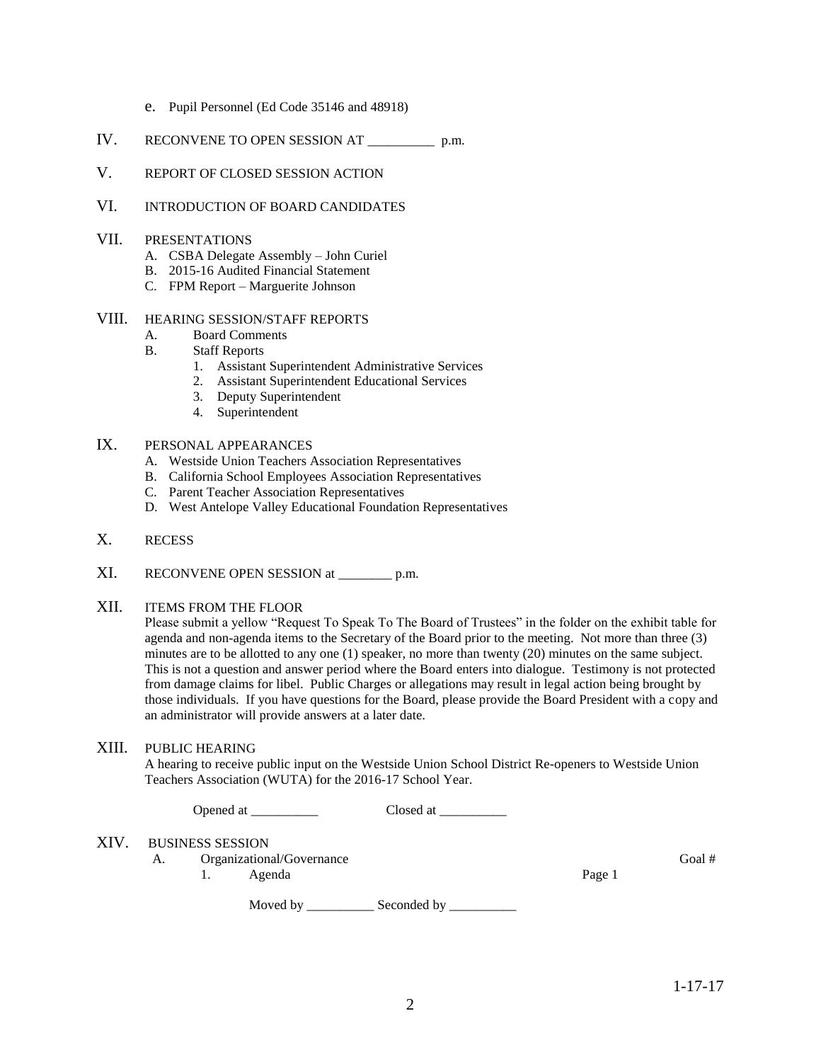- e. Pupil Personnel (Ed Code 35146 and 48918)
- IV. RECONVENE TO OPEN SESSION AT \_\_\_\_\_\_\_\_\_\_ p.m.
- V. REPORT OF CLOSED SESSION ACTION
- VI. INTRODUCTION OF BOARD CANDIDATES
- VII. PRESENTATIONS
	- A. CSBA Delegate Assembly John Curiel
	- B. 2015-16 Audited Financial Statement
	- C. FPM Report Marguerite Johnson

#### VIII. HEARING SESSION/STAFF REPORTS

- A. Board Comments
- B. Staff Reports
	- 1. Assistant Superintendent Administrative Services
	- 2. Assistant Superintendent Educational Services
	- 3. Deputy Superintendent
	- 4. Superintendent
- IX. PERSONAL APPEARANCES
	- A. Westside Union Teachers Association Representatives
	- B. California School Employees Association Representatives
	- C. Parent Teacher Association Representatives
	- D. West Antelope Valley Educational Foundation Representatives
- X. RECESS
- XI. RECONVENE OPEN SESSION at \_\_\_\_\_\_\_\_ p.m.

# XII. ITEMS FROM THE FLOOR

Please submit a yellow "Request To Speak To The Board of Trustees" in the folder on the exhibit table for agenda and non-agenda items to the Secretary of the Board prior to the meeting. Not more than three (3) minutes are to be allotted to any one (1) speaker, no more than twenty (20) minutes on the same subject. This is not a question and answer period where the Board enters into dialogue. Testimony is not protected from damage claims for libel. Public Charges or allegations may result in legal action being brought by those individuals. If you have questions for the Board, please provide the Board President with a copy and an administrator will provide answers at a later date.

### XIII. PUBLIC HEARING

A hearing to receive public input on the Westside Union School District Re-openers to Westside Union Teachers Association (WUTA) for the 2016-17 School Year.

| Opened at | Closed at |
|-----------|-----------|
|-----------|-----------|

Moved by \_\_\_\_\_\_\_\_\_\_\_\_\_ Seconded by \_\_\_\_\_\_\_\_\_\_\_

#### XIV. BUSINESS SESSION

A. Organizational/Governance Goal #

1. Agenda

Page 1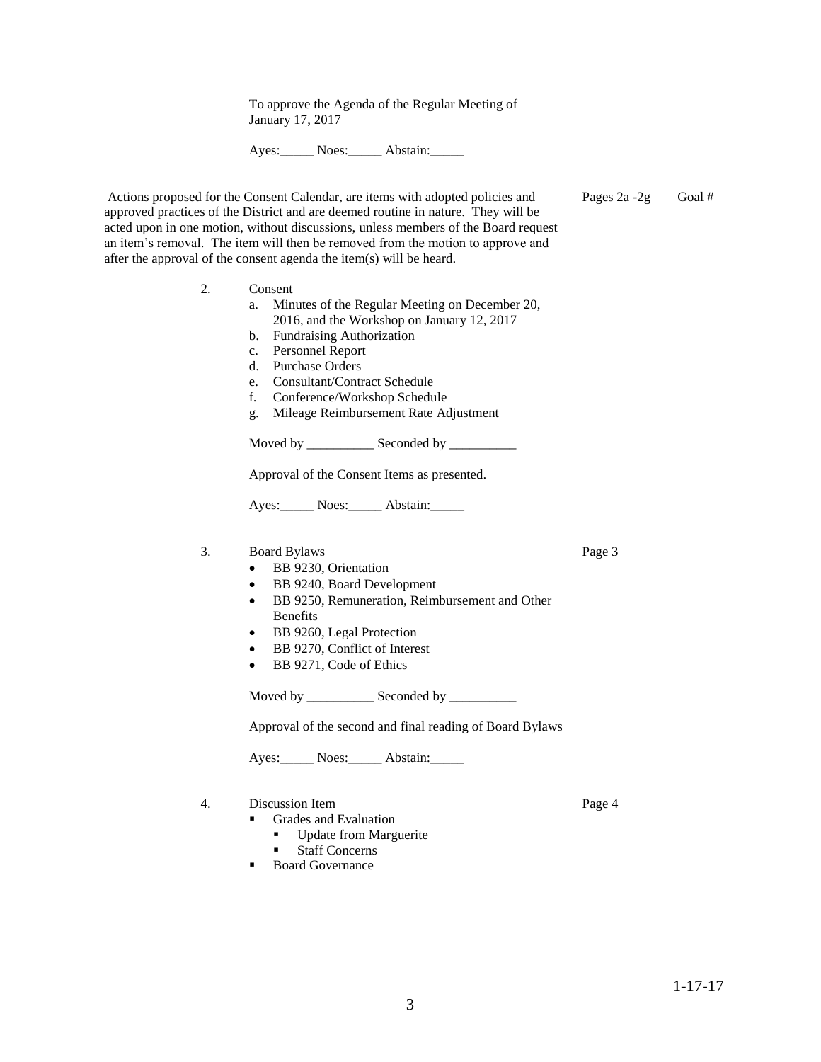acted upon in one motion, without discussions, unless members of the Board request an item's removal. The item will then be removed from the motion to approve and

To approve the Agenda of the Regular Meeting of

Ayes: Noes: Abstain:

| after the approval of the consent agenda the item(s) will be heard. |  |  |
|---------------------------------------------------------------------|--|--|
|                                                                     |  |  |

January 17, 2017

- 2. Consent a. Minutes of the Regular Meeting on December 20, 2016, and the Workshop on January 12, 2017
	- b. Fundraising Authorization
	- c. Personnel Report

Actions proposed for the Consent Calendar, are items with adopted policies and approved practices of the District and are deemed routine in nature. They will be

- d. Purchase Orders
- e. Consultant/Contract Schedule
- f. Conference/Workshop Schedule
- g. Mileage Reimbursement Rate Adjustment

Moved by \_\_\_\_\_\_\_\_\_\_\_\_\_ Seconded by \_\_\_\_\_\_\_\_\_\_\_

Approval of the Consent Items as presented.

Ayes: Noes: Abstain:

#### 3. Board Bylaws

- BB 9230, Orientation
- BB 9240, Board Development
- BB 9250, Remuneration, Reimbursement and Other Benefits
- BB 9260, Legal Protection
- BB 9270, Conflict of Interest
- BB 9271, Code of Ethics

Moved by \_\_\_\_\_\_\_\_\_\_\_\_\_ Seconded by \_\_\_\_\_\_\_\_\_\_\_

Approval of the second and final reading of Board Bylaws

Ayes: Noes: Abstain:

4. Discussion Item

- Grades and Evaluation **Update from Marguerite** 
	- Staff Concerns
	-
- **Board Governance**

1-17-17

Page 3

Pages 2a -2g Goal #

Page 4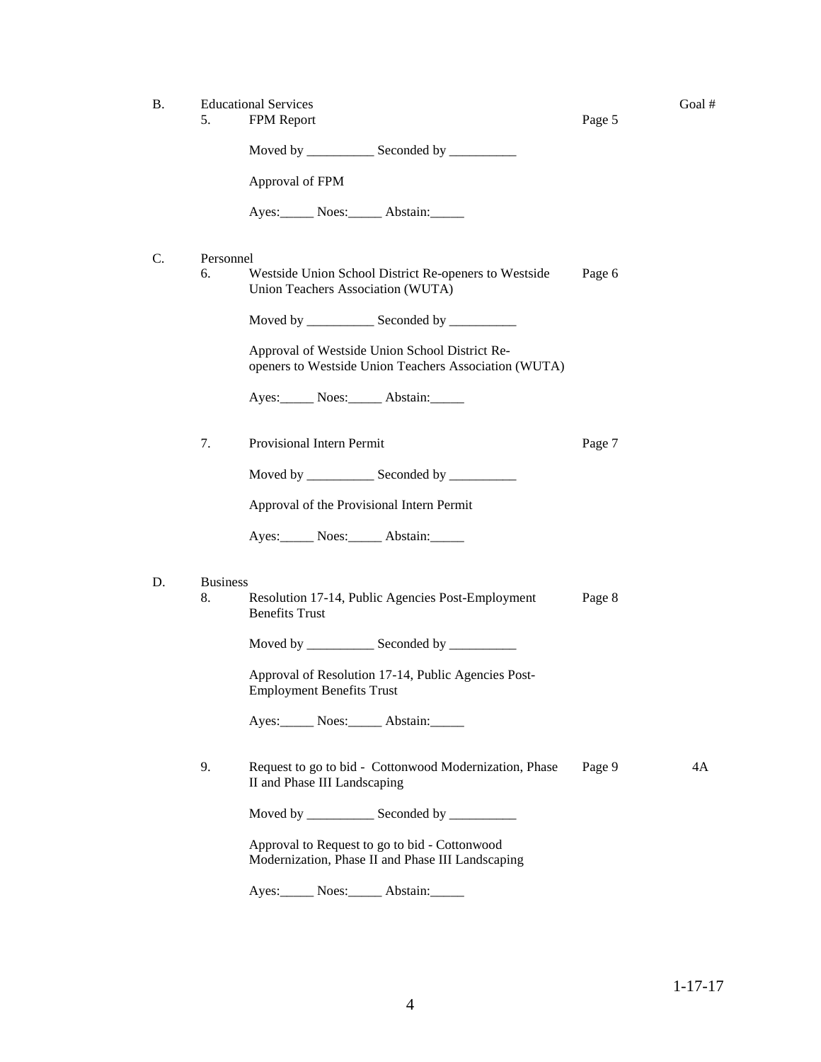B. Educational Services Goal #

Page 5

Page 7

| Moved by |  | Seconded by |  |  |
|----------|--|-------------|--|--|
|----------|--|-------------|--|--|

Approval of FPM

Ayes: Noes: Abstain:

| Personnel |
|-----------|
|           |
|           |

6. Westside Union School District Re-openers to Westside Union Teachers Association (WUTA) Page 6

Moved by \_\_\_\_\_\_\_\_\_\_\_\_\_ Seconded by \_\_\_\_\_\_\_\_\_\_\_

Approval of Westside Union School District Reopeners to Westside Union Teachers Association (WUTA)

Ayes: Noes: Abstain:

7. Provisional Intern Permit

Moved by \_\_\_\_\_\_\_\_\_\_\_\_\_ Seconded by \_\_\_\_\_\_\_\_\_\_\_\_

Approval of the Provisional Intern Permit

Ayes: Noes: Abstain:

#### D. Business

8. Resolution 17-14, Public Agencies Post-Employment Benefits Trust Page 8

Moved by \_\_\_\_\_\_\_\_\_\_\_\_\_\_ Seconded by \_\_\_\_\_\_\_\_\_\_\_\_

Approval of Resolution 17-14, Public Agencies Post-Employment Benefits Trust

Ayes: Noes: Abstain:

9. Request to go to bid - Cottonwood Modernization, Phase II and Phase III Landscaping Page 9 4A

Moved by \_\_\_\_\_\_\_\_\_\_\_\_\_ Seconded by \_\_\_\_\_\_\_\_\_\_\_

Approval to Request to go to bid - Cottonwood Modernization, Phase II and Phase III Landscaping

Ayes: Noes: Abstain: